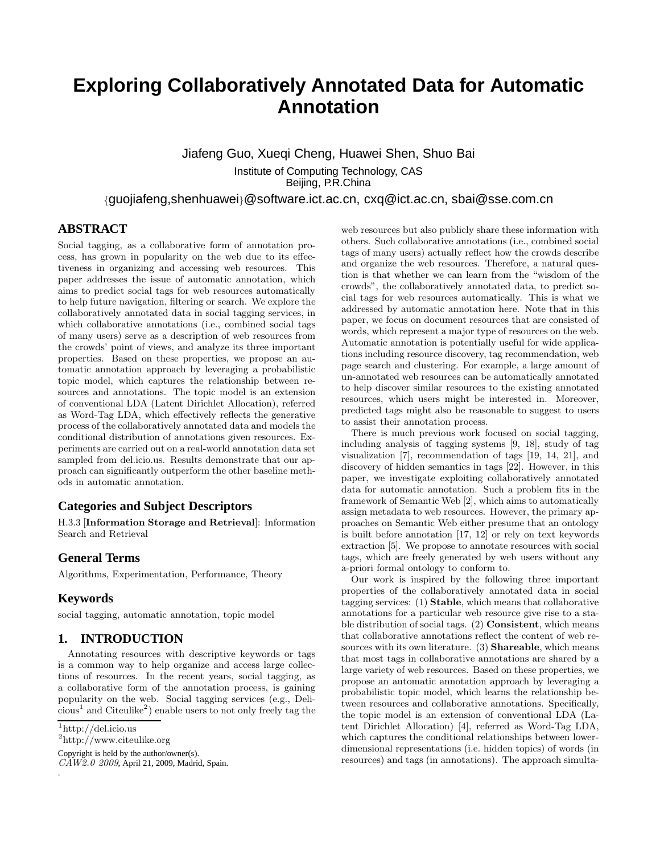# **Exploring Collaboratively Annotated Data for Automatic Annotation**

Jiafeng Guo, Xueqi Cheng, Huawei Shen, Shuo Bai Institute of Computing Technology, CAS Beijing, P.R.China

{guojiafeng,shenhuawei}@software.ict.ac.cn, cxq@ict.ac.cn, sbai@sse.com.cn

# **ABSTRACT**

Social tagging, as a collaborative form of annotation process, has grown in popularity on the web due to its effectiveness in organizing and accessing web resources. This paper addresses the issue of automatic annotation, which aims to predict social tags for web resources automatically to help future navigation, filtering or search. We explore the collaboratively annotated data in social tagging services, in which collaborative annotations (i.e., combined social tags of many users) serve as a description of web resources from the crowds' point of views, and analyze its three important properties. Based on these properties, we propose an automatic annotation approach by leveraging a probabilistic topic model, which captures the relationship between resources and annotations. The topic model is an extension of conventional LDA (Latent Dirichlet Allocation), referred as Word-Tag LDA, which effectively reflects the generative process of the collaboratively annotated data and models the conditional distribution of annotations given resources. Experiments are carried out on a real-world annotation data set sampled from del.icio.us. Results demonstrate that our approach can significantly outperform the other baseline methods in automatic annotation.

# **Categories and Subject Descriptors**

H.3.3 [Information Storage and Retrieval]: Information Search and Retrieval

# **General Terms**

Algorithms, Experimentation, Performance, Theory

# **Keywords**

social tagging, automatic annotation, topic model

# **1. INTRODUCTION**

Annotating resources with descriptive keywords or tags is a common way to help organize and access large collections of resources. In the recent years, social tagging, as a collaborative form of the annotation process, is gaining popularity on the web. Social tagging services (e.g., Deli- $\text{cious}^1$  and  $\text{Citeulike}^2$ ) enable users to not only freely tag the

.

2 http://www.citeulike.org

Copyright is held by the author/owner(s).

 $CAW2.0 2009$ , April 21, 2009, Madrid, Spain.

web resources but also publicly share these information with others. Such collaborative annotations (i.e., combined social tags of many users) actually reflect how the crowds describe and organize the web resources. Therefore, a natural question is that whether we can learn from the "wisdom of the crowds", the collaboratively annotated data, to predict social tags for web resources automatically. This is what we addressed by automatic annotation here. Note that in this paper, we focus on document resources that are consisted of words, which represent a major type of resources on the web. Automatic annotation is potentially useful for wide applications including resource discovery, tag recommendation, web page search and clustering. For example, a large amount of un-annotated web resources can be automatically annotated to help discover similar resources to the existing annotated resources, which users might be interested in. Moreover, predicted tags might also be reasonable to suggest to users to assist their annotation process.

There is much previous work focused on social tagging, including analysis of tagging systems [9, 18], study of tag visualization [7], recommendation of tags [19, 14, 21], and discovery of hidden semantics in tags [22]. However, in this paper, we investigate exploiting collaboratively annotated data for automatic annotation. Such a problem fits in the framework of Semantic Web [2], which aims to automatically assign metadata to web resources. However, the primary approaches on Semantic Web either presume that an ontology is built before annotation [17, 12] or rely on text keywords extraction [5]. We propose to annotate resources with social tags, which are freely generated by web users without any a-priori formal ontology to conform to.

Our work is inspired by the following three important properties of the collaboratively annotated data in social tagging services: (1) Stable, which means that collaborative annotations for a particular web resource give rise to a stable distribution of social tags. (2) Consistent, which means that collaborative annotations reflect the content of web resources with its own literature. (3) Shareable, which means that most tags in collaborative annotations are shared by a large variety of web resources. Based on these properties, we propose an automatic annotation approach by leveraging a probabilistic topic model, which learns the relationship between resources and collaborative annotations. Specifically, the topic model is an extension of conventional LDA (Latent Dirichlet Allocation) [4], referred as Word-Tag LDA, which captures the conditional relationships between lowerdimensional representations (i.e. hidden topics) of words (in resources) and tags (in annotations). The approach simulta-

<sup>1</sup> http://del.icio.us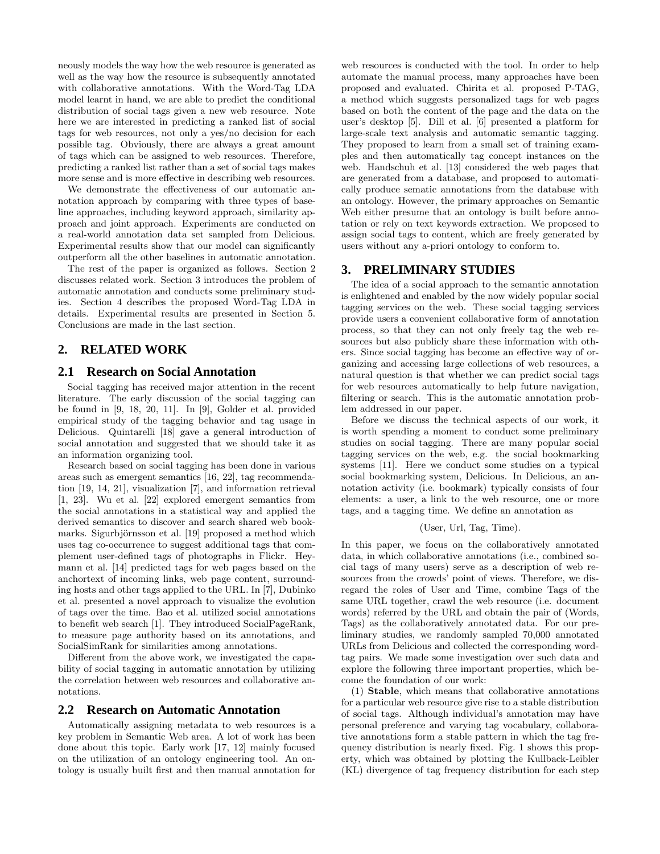neously models the way how the web resource is generated as well as the way how the resource is subsequently annotated with collaborative annotations. With the Word-Tag LDA model learnt in hand, we are able to predict the conditional distribution of social tags given a new web resource. Note here we are interested in predicting a ranked list of social tags for web resources, not only a yes/no decision for each possible tag. Obviously, there are always a great amount of tags which can be assigned to web resources. Therefore, predicting a ranked list rather than a set of social tags makes more sense and is more effective in describing web resources.

We demonstrate the effectiveness of our automatic annotation approach by comparing with three types of baseline approaches, including keyword approach, similarity approach and joint approach. Experiments are conducted on a real-world annotation data set sampled from Delicious. Experimental results show that our model can significantly outperform all the other baselines in automatic annotation.

The rest of the paper is organized as follows. Section 2 discusses related work. Section 3 introduces the problem of automatic annotation and conducts some preliminary studies. Section 4 describes the proposed Word-Tag LDA in details. Experimental results are presented in Section 5. Conclusions are made in the last section.

# **2. RELATED WORK**

# **2.1 Research on Social Annotation**

Social tagging has received major attention in the recent literature. The early discussion of the social tagging can be found in [9, 18, 20, 11]. In [9], Golder et al. provided empirical study of the tagging behavior and tag usage in Delicious. Quintarelli [18] gave a general introduction of social annotation and suggested that we should take it as an information organizing tool.

Research based on social tagging has been done in various areas such as emergent semantics [16, 22], tag recommendation [19, 14, 21], visualization [7], and information retrieval [1, 23]. Wu et al. [22] explored emergent semantics from the social annotations in a statistical way and applied the derived semantics to discover and search shared web bookmarks. Sigurbjörnsson et al. [19] proposed a method which uses tag co-occurrence to suggest additional tags that complement user-defined tags of photographs in Flickr. Heymann et al. [14] predicted tags for web pages based on the anchortext of incoming links, web page content, surrounding hosts and other tags applied to the URL. In [7], Dubinko et al. presented a novel approach to visualize the evolution of tags over the time. Bao et al. utilized social annotations to benefit web search [1]. They introduced SocialPageRank, to measure page authority based on its annotations, and SocialSimRank for similarities among annotations.

Different from the above work, we investigated the capability of social tagging in automatic annotation by utilizing the correlation between web resources and collaborative annotations.

### **2.2 Research on Automatic Annotation**

Automatically assigning metadata to web resources is a key problem in Semantic Web area. A lot of work has been done about this topic. Early work [17, 12] mainly focused on the utilization of an ontology engineering tool. An ontology is usually built first and then manual annotation for web resources is conducted with the tool. In order to help automate the manual process, many approaches have been proposed and evaluated. Chirita et al. proposed P-TAG, a method which suggests personalized tags for web pages based on both the content of the page and the data on the user's desktop [5]. Dill et al. [6] presented a platform for large-scale text analysis and automatic semantic tagging. They proposed to learn from a small set of training examples and then automatically tag concept instances on the web. Handschuh et al. [13] considered the web pages that are generated from a database, and proposed to automatically produce sematic annotations from the database with an ontology. However, the primary approaches on Semantic Web either presume that an ontology is built before annotation or rely on text keywords extraction. We proposed to assign social tags to content, which are freely generated by users without any a-priori ontology to conform to.

# **3. PRELIMINARY STUDIES**

The idea of a social approach to the semantic annotation is enlightened and enabled by the now widely popular social tagging services on the web. These social tagging services provide users a convenient collaborative form of annotation process, so that they can not only freely tag the web resources but also publicly share these information with others. Since social tagging has become an effective way of organizing and accessing large collections of web resources, a natural question is that whether we can predict social tags for web resources automatically to help future navigation, filtering or search. This is the automatic annotation problem addressed in our paper.

Before we discuss the technical aspects of our work, it is worth spending a moment to conduct some preliminary studies on social tagging. There are many popular social tagging services on the web, e.g. the social bookmarking systems [11]. Here we conduct some studies on a typical social bookmarking system, Delicious. In Delicious, an annotation activity (i.e. bookmark) typically consists of four elements: a user, a link to the web resource, one or more tags, and a tagging time. We define an annotation as

#### (User, Url, Tag, Time).

In this paper, we focus on the collaboratively annotated data, in which collaborative annotations (i.e., combined social tags of many users) serve as a description of web resources from the crowds' point of views. Therefore, we disregard the roles of User and Time, combine Tags of the same URL together, crawl the web resource (i.e. document words) referred by the URL and obtain the pair of (Words, Tags) as the collaboratively annotated data. For our preliminary studies, we randomly sampled 70,000 annotated URLs from Delicious and collected the corresponding wordtag pairs. We made some investigation over such data and explore the following three important properties, which become the foundation of our work:

(1) Stable, which means that collaborative annotations for a particular web resource give rise to a stable distribution of social tags. Although individual's annotation may have personal preference and varying tag vocabulary, collaborative annotations form a stable pattern in which the tag frequency distribution is nearly fixed. Fig. 1 shows this property, which was obtained by plotting the Kullback-Leibler (KL) divergence of tag frequency distribution for each step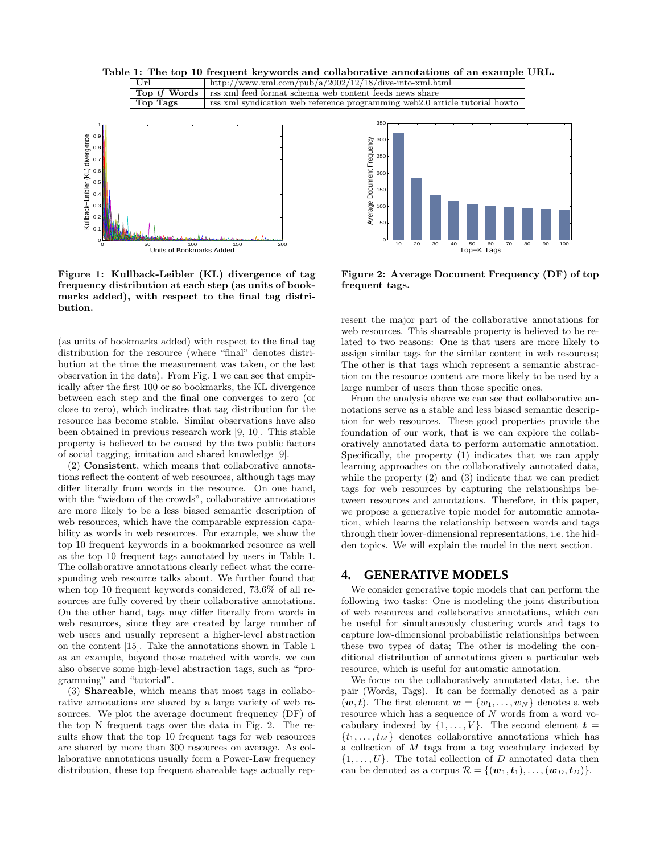



Figure 1: Kullback-Leibler (KL) divergence of tag frequency distribution at each step (as units of bookmarks added), with respect to the final tag distribution.

(as units of bookmarks added) with respect to the final tag distribution for the resource (where "final" denotes distribution at the time the measurement was taken, or the last observation in the data). From Fig. 1 we can see that empirically after the first 100 or so bookmarks, the KL divergence between each step and the final one converges to zero (or close to zero), which indicates that tag distribution for the resource has become stable. Similar observations have also been obtained in previous research work [9, 10]. This stable property is believed to be caused by the two public factors of social tagging, imitation and shared knowledge [9].

(2) Consistent, which means that collaborative annotations reflect the content of web resources, although tags may differ literally from words in the resource. On one hand, with the "wisdom of the crowds", collaborative annotations are more likely to be a less biased semantic description of web resources, which have the comparable expression capability as words in web resources. For example, we show the top 10 frequent keywords in a bookmarked resource as well as the top 10 frequent tags annotated by users in Table 1. The collaborative annotations clearly reflect what the corresponding web resource talks about. We further found that when top 10 frequent keywords considered, 73.6% of all resources are fully covered by their collaborative annotations. On the other hand, tags may differ literally from words in web resources, since they are created by large number of web users and usually represent a higher-level abstraction on the content [15]. Take the annotations shown in Table 1 as an example, beyond those matched with words, we can also observe some high-level abstraction tags, such as "programming" and "tutorial".

(3) Shareable, which means that most tags in collaborative annotations are shared by a large variety of web resources. We plot the average document frequency (DF) of the top N frequent tags over the data in Fig. 2. The results show that the top 10 frequent tags for web resources are shared by more than 300 resources on average. As collaborative annotations usually form a Power-Law frequency distribution, these top frequent shareable tags actually rep-



Figure 2: Average Document Frequency (DF) of top frequent tags.

resent the major part of the collaborative annotations for web resources. This shareable property is believed to be related to two reasons: One is that users are more likely to assign similar tags for the similar content in web resources; The other is that tags which represent a semantic abstraction on the resource content are more likely to be used by a large number of users than those specific ones.

From the analysis above we can see that collaborative annotations serve as a stable and less biased semantic description for web resources. These good properties provide the foundation of our work, that is we can explore the collaboratively annotated data to perform automatic annotation. Specifically, the property (1) indicates that we can apply learning approaches on the collaboratively annotated data, while the property (2) and (3) indicate that we can predict tags for web resources by capturing the relationships between resources and annotations. Therefore, in this paper, we propose a generative topic model for automatic annotation, which learns the relationship between words and tags through their lower-dimensional representations, i.e. the hidden topics. We will explain the model in the next section.

# **4. GENERATIVE MODELS**

We consider generative topic models that can perform the following two tasks: One is modeling the joint distribution of web resources and collaborative annotations, which can be useful for simultaneously clustering words and tags to capture low-dimensional probabilistic relationships between these two types of data; The other is modeling the conditional distribution of annotations given a particular web resource, which is useful for automatic annotation.

We focus on the collaboratively annotated data, i.e. the pair (Words, Tags). It can be formally denoted as a pair  $(w, t)$ . The first element  $w = \{w_1, \ldots, w_N\}$  denotes a web resource which has a sequence of N words from a word vocabulary indexed by  $\{1, \ldots, V\}$ . The second element  $t =$  $\{t_1, \ldots, t_M\}$  denotes collaborative annotations which has a collection of M tags from a tag vocabulary indexed by  $\{1, \ldots, U\}$ . The total collection of D annotated data then can be denoted as a corpus  $\mathcal{R} = \{(\mathbf{w}_1, \mathbf{t}_1), \ldots, (\mathbf{w}_D, \mathbf{t}_D)\}.$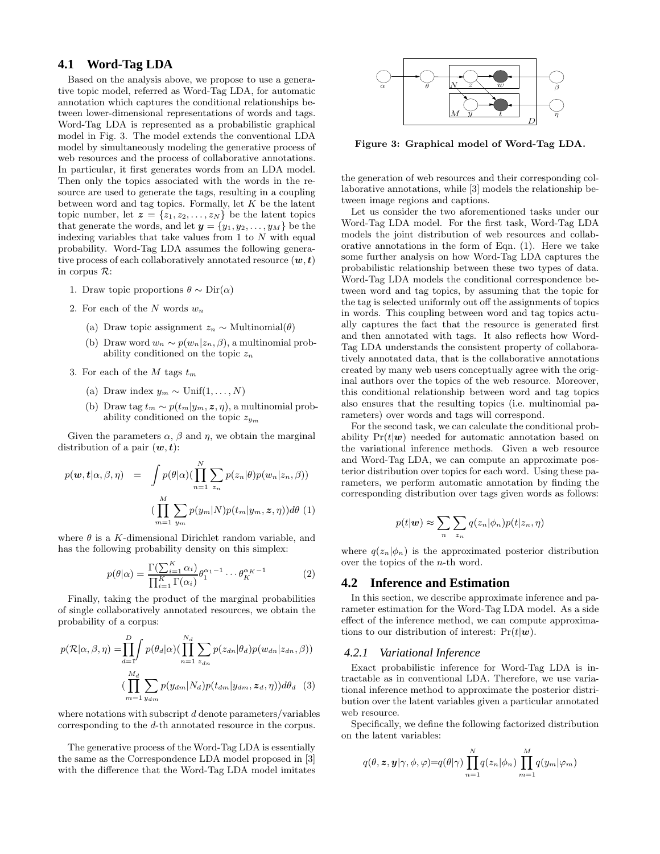# **4.1 Word-Tag LDA**

Based on the analysis above, we propose to use a generative topic model, referred as Word-Tag LDA, for automatic annotation which captures the conditional relationships between lower-dimensional representations of words and tags. Word-Tag LDA is represented as a probabilistic graphical model in Fig. 3. The model extends the conventional LDA model by simultaneously modeling the generative process of web resources and the process of collaborative annotations. In particular, it first generates words from an LDA model. Then only the topics associated with the words in the resource are used to generate the tags, resulting in a coupling between word and tag topics. Formally, let  $K$  be the latent topic number, let  $\boldsymbol{z} = \{z_1, z_2, \ldots, z_N\}$  be the latent topics that generate the words, and let  $y = \{y_1, y_2, \ldots, y_M\}$  be the indexing variables that take values from  $1$  to  $N$  with equal probability. Word-Tag LDA assumes the following generative process of each collaboratively annotated resource  $(w, t)$ in corpus R:

- 1. Draw topic proportions  $\theta \sim \text{Dir}(\alpha)$
- 2. For each of the  $N$  words  $w_n$ 
	- (a) Draw topic assignment  $z_n \sim \text{Multinomial}(\theta)$
	- (b) Draw word  $w_n \sim p(w_n | z_n, \beta)$ , a multinomial probability conditioned on the topic  $z_n$
- 3. For each of the M tags  $t_m$ 
	- (a) Draw index  $y_m \sim \text{Unif}(1, \ldots, N)$
	- (b) Draw tag  $t_m \sim p(t_m|y_m, z, \eta)$ , a multinomial probability conditioned on the topic  $z_{ym}$

Given the parameters  $\alpha$ ,  $\beta$  and  $\eta$ , we obtain the marginal distribution of a pair  $(w, t)$ :

$$
p(\boldsymbol{w}, \boldsymbol{t} | \alpha, \beta, \eta) = \int p(\theta | \alpha) (\prod_{n=1}^{N} \sum_{z_n} p(z_n | \theta) p(w_n | z_n, \beta))
$$

$$
(\prod_{m=1}^{M} \sum_{y_m} p(y_m | N) p(t_m | y_m, \boldsymbol{z}, \eta)) d\theta (1)
$$

where  $\theta$  is a K-dimensional Dirichlet random variable, and has the following probability density on this simplex:

$$
p(\theta|\alpha) = \frac{\Gamma(\sum_{i=1}^{K} \alpha_i)}{\prod_{i=1}^{K} \Gamma(\alpha_i)} \theta_1^{\alpha_1 - 1} \cdots \theta_K^{\alpha_K - 1}
$$
 (2)

Finally, taking the product of the marginal probabilities of single collaboratively annotated resources, we obtain the probability of a corpus:

$$
p(\mathcal{R}|\alpha,\beta,\eta) = \prod_{d=\mathbf{I}}^{D} p(\theta_d|\alpha) (\prod_{n=1}^{N_d} \sum_{z_{dn}} p(z_{dn}|\theta_d) p(w_{dn}|z_{dn},\beta))
$$

$$
(\prod_{m=1}^{M_d} \sum_{y_{dm}} p(y_{dm}|N_d) p(t_{dm}|y_{dm},z_d,\eta))d\theta_d
$$
(3)

where notations with subscript  $d$  denote parameters/variables corresponding to the d-th annotated resource in the corpus.

The generative process of the Word-Tag LDA is essentially the same as the Correspondence LDA model proposed in [3] with the difference that the Word-Tag LDA model imitates



Figure 3: Graphical model of Word-Tag LDA.

the generation of web resources and their corresponding collaborative annotations, while [3] models the relationship between image regions and captions.

Let us consider the two aforementioned tasks under our Word-Tag LDA model. For the first task, Word-Tag LDA models the joint distribution of web resources and collaborative annotations in the form of Eqn. (1). Here we take some further analysis on how Word-Tag LDA captures the probabilistic relationship between these two types of data. Word-Tag LDA models the conditional correspondence between word and tag topics, by assuming that the topic for the tag is selected uniformly out off the assignments of topics in words. This coupling between word and tag topics actually captures the fact that the resource is generated first and then annotated with tags. It also reflects how Word-Tag LDA understands the consistent property of collaboratively annotated data, that is the collaborative annotations created by many web users conceptually agree with the original authors over the topics of the web resource. Moreover, this conditional relationship between word and tag topics also ensures that the resulting topics (i.e. multinomial parameters) over words and tags will correspond.

For the second task, we can calculate the conditional probability  $Pr(t|\mathbf{w})$  needed for automatic annotation based on the variational inference methods. Given a web resource and Word-Tag LDA, we can compute an approximate posterior distribution over topics for each word. Using these parameters, we perform automatic annotation by finding the corresponding distribution over tags given words as follows:

$$
p(t|\mathbf{w}) \approx \sum_{n} \sum_{z_n} q(z_n|\phi_n) p(t|z_n, \eta)
$$

where  $q(z_n|\phi_n)$  is the approximated posterior distribution over the topics of the n-th word.

#### **4.2 Inference and Estimation**

In this section, we describe approximate inference and parameter estimation for the Word-Tag LDA model. As a side effect of the inference method, we can compute approximations to our distribution of interest:  $Pr(t|\mathbf{w})$ .

#### *4.2.1 Variational Inference*

Exact probabilistic inference for Word-Tag LDA is intractable as in conventional LDA. Therefore, we use variational inference method to approximate the posterior distribution over the latent variables given a particular annotated web resource.

Specifically, we define the following factorized distribution on the latent variables:

$$
q(\theta, \mathbf{z}, \mathbf{y} | \gamma, \phi, \varphi) = q(\theta | \gamma) \prod_{n=1}^{N} q(z_n | \phi_n) \prod_{m=1}^{M} q(y_m | \varphi_m)
$$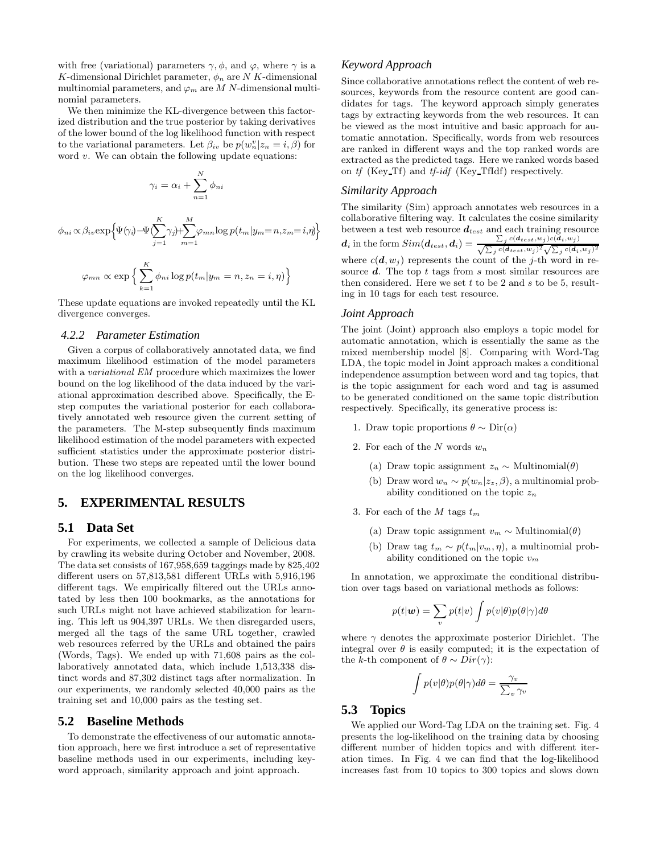with free (variational) parameters  $\gamma$ ,  $\phi$ , and  $\varphi$ , where  $\gamma$  is a K-dimensional Dirichlet parameter,  $\phi_n$  are N K-dimensional multinomial parameters, and  $\varphi_m$  are M N-dimensional multinomial parameters.

We then minimize the KL-divergence between this factorized distribution and the true posterior by taking derivatives of the lower bound of the log likelihood function with respect to the variational parameters. Let  $\beta_{iv}$  be  $p(w_n^v | z_n = i, \beta)$  for word  $v$ . We can obtain the following update equations:

$$
\gamma_i = \alpha_i + \sum_{n=1}^N \phi_{ni}
$$

$$
\phi_{ni} \propto \beta_{iv} \exp\left\{\Psi(\gamma_i) - \Psi(\sum_{j=1}^K \gamma_j) + \sum_{m=1}^M \varphi_{mn} \log p(t_m | y_m = n, z_m = i, \eta)\right\}
$$

$$
\varphi_{mn} \propto \exp \left\{ \sum_{k=1}^{K} \phi_{ni} \log p(t_m | y_m = n, z_n = i, \eta) \right\}
$$

These update equations are invoked repeatedly until the KL divergence converges.

#### *4.2.2 Parameter Estimation*

Given a corpus of collaboratively annotated data, we find maximum likelihood estimation of the model parameters with a *variational EM* procedure which maximizes the lower bound on the log likelihood of the data induced by the variational approximation described above. Specifically, the Estep computes the variational posterior for each collaboratively annotated web resource given the current setting of the parameters. The M-step subsequently finds maximum likelihood estimation of the model parameters with expected sufficient statistics under the approximate posterior distribution. These two steps are repeated until the lower bound on the log likelihood converges.

# **5. EXPERIMENTAL RESULTS**

### **5.1 Data Set**

For experiments, we collected a sample of Delicious data by crawling its website during October and November, 2008. The data set consists of 167,958,659 taggings made by 825,402 different users on 57,813,581 different URLs with 5,916,196 different tags. We empirically filtered out the URLs annotated by less then 100 bookmarks, as the annotations for such URLs might not have achieved stabilization for learning. This left us 904,397 URLs. We then disregarded users, merged all the tags of the same URL together, crawled web resources referred by the URLs and obtained the pairs (Words, Tags). We ended up with 71,608 pairs as the collaboratively annotated data, which include 1,513,338 distinct words and 87,302 distinct tags after normalization. In our experiments, we randomly selected 40,000 pairs as the training set and 10,000 pairs as the testing set.

#### **5.2 Baseline Methods**

To demonstrate the effectiveness of our automatic annotation approach, here we first introduce a set of representative baseline methods used in our experiments, including keyword approach, similarity approach and joint approach.

### *Keyword Approach*

Since collaborative annotations reflect the content of web resources, keywords from the resource content are good candidates for tags. The keyword approach simply generates tags by extracting keywords from the web resources. It can be viewed as the most intuitive and basic approach for automatic annotation. Specifically, words from web resources are ranked in different ways and the top ranked words are extracted as the predicted tags. Here we ranked words based on tf (Key Tf) and tf-idf (Key TfIdf) respectively.

### *Similarity Approach*

The similarity (Sim) approach annotates web resources in a collaborative filtering way. It calculates the cosine similarity between a test web resource  $d_{test}$  and each training resource  $\boldsymbol{d}_{i}$  in the form  $Sim(\boldsymbol{d}_{test},\boldsymbol{d}_{i}) = \frac{\sum_{j} c(d_{test},w_{j})c(\boldsymbol{\breve{d}}_{i},w_{j})}{\sqrt{\sum_{j} c(d_{test},w_{j})^{2}}\sqrt{\sum_{j} c(d_{i},w_{j})^{2}}}$ where  $c(\boldsymbol{d}, w_j)$  represents the count of the j-th word in resource  $d$ . The top  $t$  tags from  $s$  most similar resources are then considered. Here we set  $t$  to be 2 and  $s$  to be 5, resulting in 10 tags for each test resource.

#### *Joint Approach*

The joint (Joint) approach also employs a topic model for automatic annotation, which is essentially the same as the mixed membership model [8]. Comparing with Word-Tag LDA, the topic model in Joint approach makes a conditional independence assumption between word and tag topics, that is the topic assignment for each word and tag is assumed to be generated conditioned on the same topic distribution respectively. Specifically, its generative process is:

- 1. Draw topic proportions  $\theta \sim \text{Dir}(\alpha)$
- 2. For each of the N words  $w_n$ 
	- (a) Draw topic assignment  $z_n \sim \text{Multinomial}(\theta)$
	- (b) Draw word  $w_n \sim p(w_n | z_z, \beta)$ , a multinomial probability conditioned on the topic  $z_n$
- 3. For each of the M tags  $t_m$ 
	- (a) Draw topic assignment  $v_m \sim \text{Multinomial}(\theta)$
	- (b) Draw tag  $t_m \sim p(t_m|v_m, \eta)$ , a multinomial probability conditioned on the topic  $v_m$

In annotation, we approximate the conditional distribution over tags based on variational methods as follows:

$$
p(t|\boldsymbol{w}) = \sum_{v} p(t|v) \int p(v|\theta) p(\theta|\gamma) d\theta
$$

where  $\gamma$  denotes the approximate posterior Dirichlet. The integral over  $\theta$  is easily computed; it is the expectation of the k-th component of  $\theta \sim Dir(\gamma)$ :

$$
\int p(v|\theta)p(\theta|\gamma)d\theta = \frac{\gamma_v}{\sum_v \gamma_v}
$$

### **5.3 Topics**

We applied our Word-Tag LDA on the training set. Fig. 4 presents the log-likelihood on the training data by choosing different number of hidden topics and with different iteration times. In Fig. 4 we can find that the log-likelihood increases fast from 10 topics to 300 topics and slows down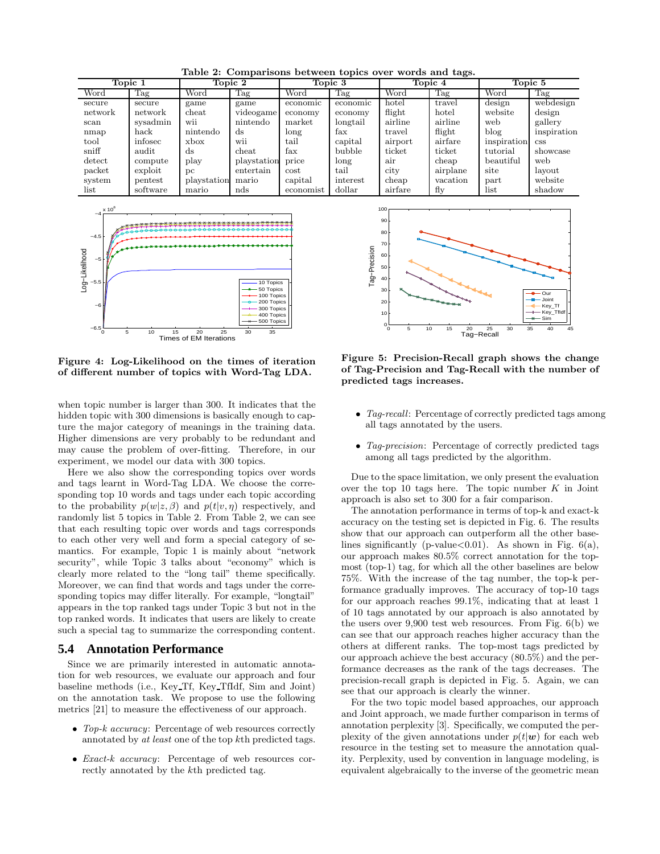Table 2: Comparisons between topics over words and tags.

| Topic 1       |               | Topic 2         |                 | Topic 3   |          | Topic 4 |          | Topic 5     |             |
|---------------|---------------|-----------------|-----------------|-----------|----------|---------|----------|-------------|-------------|
| Word          | Tag           | Word            | Tag             | Word      | Tag      | Word    | Tag      | Word        | Tag         |
| secure        | secure        | game            | game            | economic  | economic | hotel   | travel   | design      | webdesign   |
| network       | network       | $_{\rm{cheat}}$ | videogame       | economy   | economy  | flight  | hotel    | website     | design      |
| scan          | sysadmin      | wii             | nintendo        | market    | longtail | airline | airline  | web         | gallery     |
| nmap          | $_{\rm back}$ | nintendo        | ds              | long      | fax      | travel  | flight   | blog        | inspiration |
| tool          | infosec       | xbox            | W11             | tail      | capital  | airport | airfare  | inspiration | <b>CSS</b>  |
| sniff         | audit         | ds              | $_{\rm{cheat}}$ | fax       | bubble   | ticket  | ticket   | tutorial    | showcase    |
| $\det$        | compute       | play            | playstation     | price     | long     | air     | cheap    | beautiful   | web         |
| packet        | exploit       | pc              | entertain       | cost      | tail     | city    | airplane | site        | lavout      |
| system        | pentest       | playstation     | mario           | capital   | interest | cheap   | vacation | part        | website     |
| $_{\rm list}$ | software      | mario           | nds             | economist | dollar   | airfare | fly      | list        | shadow      |



Figure 4: Log-Likelihood on the times of iteration of different number of topics with Word-Tag LDA.

when topic number is larger than 300. It indicates that the hidden topic with 300 dimensions is basically enough to capture the major category of meanings in the training data. Higher dimensions are very probably to be redundant and may cause the problem of over-fitting. Therefore, in our experiment, we model our data with 300 topics.

Here we also show the corresponding topics over words and tags learnt in Word-Tag LDA. We choose the corresponding top 10 words and tags under each topic according to the probability  $p(w|z, \beta)$  and  $p(t|v, \eta)$  respectively, and randomly list 5 topics in Table 2. From Table 2, we can see that each resulting topic over words and tags corresponds to each other very well and form a special category of semantics. For example, Topic 1 is mainly about "network security", while Topic 3 talks about "economy" which is clearly more related to the "long tail" theme specifically. Moreover, we can find that words and tags under the corresponding topics may differ literally. For example, "longtail" appears in the top ranked tags under Topic 3 but not in the top ranked words. It indicates that users are likely to create such a special tag to summarize the corresponding content.

### **5.4 Annotation Performance**

Since we are primarily interested in automatic annotation for web resources, we evaluate our approach and four baseline methods (i.e., Key Tf, Key TfIdf, Sim and Joint) on the annotation task. We propose to use the following metrics [21] to measure the effectiveness of our approach.

- Top-k accuracy: Percentage of web resources correctly annotated by at least one of the top kth predicted tags.
- Exact-k accuracy: Percentage of web resources correctly annotated by the kth predicted tag.



Figure 5: Precision-Recall graph shows the change of Tag-Precision and Tag-Recall with the number of predicted tags increases.

- Tag-recall: Percentage of correctly predicted tags among all tags annotated by the users.
- Tag-precision: Percentage of correctly predicted tags among all tags predicted by the algorithm.

Due to the space limitation, we only present the evaluation over the top 10 tags here. The topic number  $K$  in Joint approach is also set to 300 for a fair comparison.

The annotation performance in terms of top-k and exact-k accuracy on the testing set is depicted in Fig. 6. The results show that our approach can outperform all the other baselines significantly (p-value $< 0.01$ ). As shown in Fig.  $6(a)$ , our approach makes 80.5% correct annotation for the topmost (top-1) tag, for which all the other baselines are below 75%. With the increase of the tag number, the top-k performance gradually improves. The accuracy of top-10 tags for our approach reaches 99.1%, indicating that at least 1 of 10 tags annotated by our approach is also annotated by the users over 9,900 test web resources. From Fig. 6(b) we can see that our approach reaches higher accuracy than the others at different ranks. The top-most tags predicted by our approach achieve the best accuracy (80.5%) and the performance decreases as the rank of the tags decreases. The precision-recall graph is depicted in Fig. 5. Again, we can see that our approach is clearly the winner.

For the two topic model based approaches, our approach and Joint approach, we made further comparison in terms of annotation perplexity [3]. Specifically, we computed the perplexity of the given annotations under  $p(t|\mathbf{w})$  for each web resource in the testing set to measure the annotation quality. Perplexity, used by convention in language modeling, is equivalent algebraically to the inverse of the geometric mean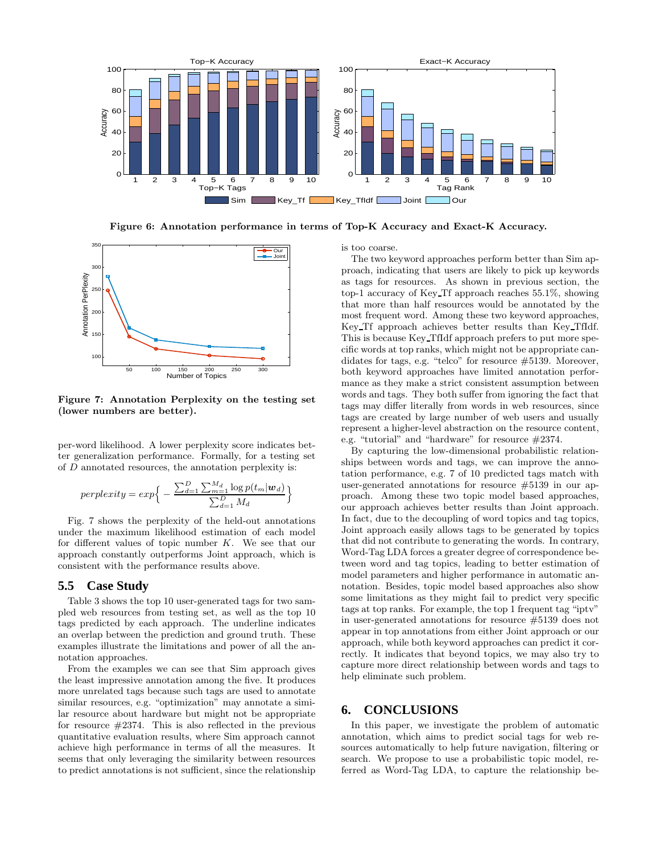

Figure 6: Annotation performance in terms of Top-K Accuracy and Exact-K Accuracy.



Figure 7: Annotation Perplexity on the testing set (lower numbers are better).

per-word likelihood. A lower perplexity score indicates better generalization performance. Formally, for a testing set of  $D$  annotated resources, the annotation perplexity is:

$$
perplexity = exp\Big\{-\frac{\sum_{d=1}^{D} \sum_{m=1}^{M_d} \log p(t_m | \boldsymbol{w}_d)}{\sum_{d=1}^{D} M_d}\Big\}
$$

Fig. 7 shows the perplexity of the held-out annotations under the maximum likelihood estimation of each model for different values of topic number K. We see that our approach constantly outperforms Joint approach, which is consistent with the performance results above.

### **5.5 Case Study**

Table 3 shows the top 10 user-generated tags for two sampled web resources from testing set, as well as the top 10 tags predicted by each approach. The underline indicates an overlap between the prediction and ground truth. These examples illustrate the limitations and power of all the annotation approaches.

From the examples we can see that Sim approach gives the least impressive annotation among the five. It produces more unrelated tags because such tags are used to annotate similar resources, e.g. "optimization" may annotate a similar resource about hardware but might not be appropriate for resource  $\#2374$ . This is also reflected in the previous quantitative evaluation results, where Sim approach cannot achieve high performance in terms of all the measures. It seems that only leveraging the similarity between resources to predict annotations is not sufficient, since the relationship is too coarse.

The two keyword approaches perform better than Sim approach, indicating that users are likely to pick up keywords as tags for resources. As shown in previous section, the top-1 accuracy of Key Tf approach reaches 55.1%, showing that more than half resources would be annotated by the most frequent word. Among these two keyword approaches, Key Tf approach achieves better results than Key TfIdf. This is because Key TfIdf approach prefers to put more specific words at top ranks, which might not be appropriate candidates for tags, e.g. "telco" for resource #5139. Moreover, both keyword approaches have limited annotation performance as they make a strict consistent assumption between words and tags. They both suffer from ignoring the fact that tags may differ literally from words in web resources, since tags are created by large number of web users and usually represent a higher-level abstraction on the resource content, e.g. "tutorial" and "hardware" for resource #2374.

By capturing the low-dimensional probabilistic relationships between words and tags, we can improve the annotation performance, e.g. 7 of 10 predicted tags match with user-generated annotations for resource #5139 in our approach. Among these two topic model based approaches, our approach achieves better results than Joint approach. In fact, due to the decoupling of word topics and tag topics, Joint approach easily allows tags to be generated by topics that did not contribute to generating the words. In contrary, Word-Tag LDA forces a greater degree of correspondence between word and tag topics, leading to better estimation of model parameters and higher performance in automatic annotation. Besides, topic model based approaches also show some limitations as they might fail to predict very specific tags at top ranks. For example, the top 1 frequent tag "iptv" in user-generated annotations for resource #5139 does not appear in top annotations from either Joint approach or our approach, while both keyword approaches can predict it correctly. It indicates that beyond topics, we may also try to capture more direct relationship between words and tags to help eliminate such problem.

# **6. CONCLUSIONS**

In this paper, we investigate the problem of automatic annotation, which aims to predict social tags for web resources automatically to help future navigation, filtering or search. We propose to use a probabilistic topic model, referred as Word-Tag LDA, to capture the relationship be-